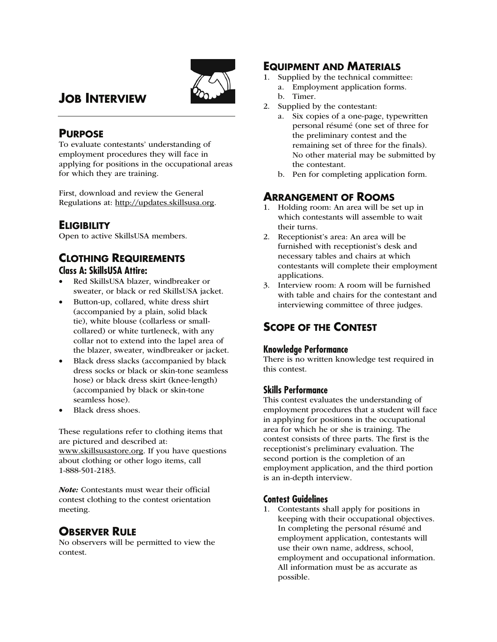

# **JOB INTERVIEW**

## **PURPOSE**

To evaluate contestants' understanding of employment procedures they will face in applying for positions in the occupational areas for which they are training.

First, download and review the General Regulations at: http://updates.skillsusa.org.

## **ELIGIBILITY**

Open to active SkillsUSA members.

## **CLOTHING REQUIREMENTS Class A: SkillsUSA Attire:**

- Red SkillsUSA blazer, windbreaker or sweater, or black or red SkillsUSA jacket.
- Button-up, collared, white dress shirt (accompanied by a plain, solid black tie), white blouse (collarless or smallcollared) or white turtleneck, with any collar not to extend into the lapel area of the blazer, sweater, windbreaker or jacket.
- Black dress slacks (accompanied by black dress socks or black or skin-tone seamless hose) or black dress skirt (knee-length) (accompanied by black or skin-tone seamless hose).
- Black dress shoes.

These regulations refer to clothing items that are pictured and described at: www.skillsusastore.org. If you have questions about clothing or other logo items, call 1-888-501-2183.

Note: Contestants must wear their official contest clothing to the contest orientation meeting.

# **OBSERVER RULE**

No observers will be permitted to view the contest.

## **EQUIPMENT AND MATERIALS**

- 1. Supplied by the technical committee: a. Employment application forms.
	- b. Timer.
- 2. Supplied by the contestant:
	- a. Six copies of a one-page, typewritten personal résumé (one set of three for the preliminary contest and the remaining set of three for the finals). No other material may be submitted by the contestant.
	- b. Pen for completing application form.

# **ARRANGEMENT OF ROOMS**

- 1. Holding room: An area will be set up in which contestants will assemble to wait their turns.
- 2. Receptionist's area: An area will be furnished with receptionist's desk and necessary tables and chairs at which contestants will complete their employment applications.
- 3. Interview room: A room will be furnished with table and chairs for the contestant and interviewing committee of three judges.

# **SCOPE OF THE CONTEST**

### **Knowledge Performance**

There is no written knowledge test required in this contest.

### **Skills Performance**

This contest evaluates the understanding of employment procedures that a student will face in applying for positions in the occupational area for which he or she is training. The contest consists of three parts. The first is the receptionist's preliminary evaluation. The second portion is the completion of an employment application, and the third portion is an in-depth interview.

### **Contest Guidelines**

1. Contestants shall apply for positions in keeping with their occupational objectives. In completing the personal résumé and employment application, contestants will use their own name, address, school, employment and occupational information. All information must be as accurate as possible.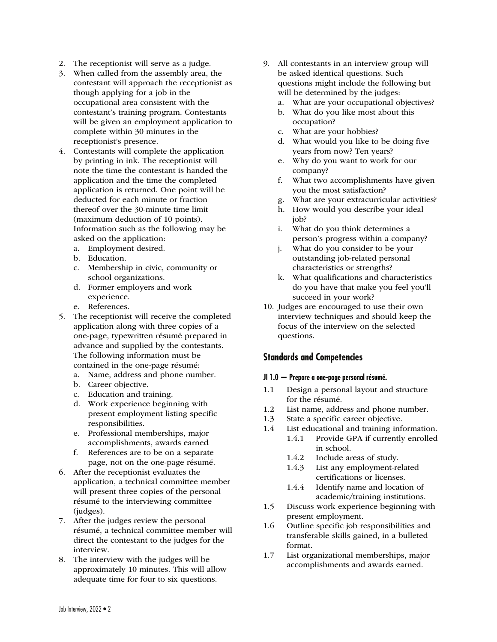- 2. The receptionist will serve as a judge.
- 3. When called from the assembly area, the contestant will approach the receptionist as though applying for a job in the occupational area consistent with the contestant's training program. Contestants will be given an employment application to complete within 30 minutes in the receptionist's presence.
- 4. Contestants will complete the application by printing in ink. The receptionist will note the time the contestant is handed the application and the time the completed application is returned. One point will be deducted for each minute or fraction thereof over the 30-minute time limit (maximum deduction of 10 points). Information such as the following may be asked on the application:
	- a. Employment desired.
	- b. Education.
	- c. Membership in civic, community or school organizations.
	- d. Former employers and work experience.
	- e. References.
- 5. The receptionist will receive the completed application along with three copies of a one-page, typewritten résumé prepared in advance and supplied by the contestants. The following information must be contained in the one-page résumé:
	- a. Name, address and phone number.
	- b. Career objective.
	- c. Education and training.
	- d. Work experience beginning with present employment listing specific responsibilities.
	- e. Professional memberships, major accomplishments, awards earned
	- f. References are to be on a separate page, not on the one-page résumé.
- 6. After the receptionist evaluates the application, a technical committee member will present three copies of the personal résumé to the interviewing committee (judges).
- 7. After the judges review the personal résumé, a technical committee member will direct the contestant to the judges for the interview.
- 8. The interview with the judges will be approximately 10 minutes. This will allow adequate time for four to six questions.
- 9. All contestants in an interview group will be asked identical questions. Such questions might include the following but will be determined by the judges:
	- a. What are your occupational objectives?
	- b. What do you like most about this occupation?
	- c. What are your hobbies?
	- d. What would you like to be doing five years from now? Ten years?
	- e. Why do you want to work for our company?
	- f. What two accomplishments have given you the most satisfaction?
	- g. What are your extracurricular activities?
	- h. How would you describe your ideal job?
	- i. What do you think determines a person's progress within a company?
	- j. What do you consider to be your outstanding job-related personal characteristics or strengths?
	- k. What qualifications and characteristics do you have that make you feel you'll succeed in your work?
- 10. Judges are encouraged to use their own interview techniques and should keep the focus of the interview on the selected questions.

#### **Standards and Competencies**

#### **JI 1.0 — Prepare a one-page personal résumé.**

- 1.1 Design a personal layout and structure for the résumé.
- 1.2 List name, address and phone number.
- 1.3 State a specific career objective.
- 1.4 List educational and training information.
	- 1.4.1 Provide GPA if currently enrolled in school.
		- 1.4.2 Include areas of study.
		- 1.4.3 List any employment-related certifications or licenses.
		- 1.4.4 Identify name and location of academic/training institutions.
- 1.5 Discuss work experience beginning with present employment.
- 1.6 Outline specific job responsibilities and transferable skills gained, in a bulleted format.
- 1.7 List organizational memberships, major accomplishments and awards earned.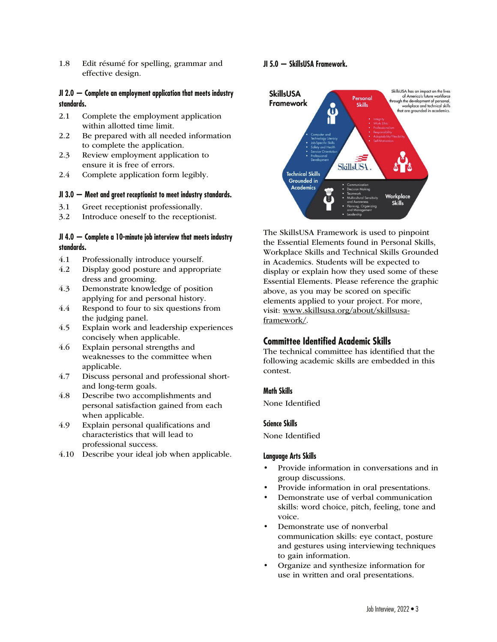1.8 Edit résumé for spelling, grammar and effective design.

#### **JI 2.0 — Complete an employment application that meets industry standards.**

- 2.1 Complete the employment application within allotted time limit.
- 2.2 Be prepared with all needed information to complete the application.
- 2.3 Review employment application to ensure it is free of errors.
- 2.4 Complete application form legibly.

#### **JI 3.0 — Meet and greet receptionist to meet industry standards.**

- 3.1 Greet receptionist professionally.
- 3.2 Introduce oneself to the receptionist.

#### **JI 4.0 — Complete a 10-minute job interview that meets industry standards.**

- 4.1 Professionally introduce yourself.
- 4.2 Display good posture and appropriate dress and grooming.
- 4.3 Demonstrate knowledge of position applying for and personal history.
- 4.4 Respond to four to six questions from the judging panel.
- 4.5 Explain work and leadership experiences concisely when applicable.
- 4.6 Explain personal strengths and weaknesses to the committee when applicable.
- 4.7 Discuss personal and professional shortand long-term goals.
- 4.8 Describe two accomplishments and personal satisfaction gained from each when applicable.
- 4.9 Explain personal qualifications and characteristics that will lead to professional success.
- 4.10 Describe your ideal job when applicable.

#### **JI 5.0 — SkillsUSA Framework.**



The SkillsUSA Framework is used to pinpoint the Essential Elements found in Personal Skills, Workplace Skills and Technical Skills Grounded in Academics. Students will be expected to display or explain how they used some of these Essential Elements. Please reference the graphic above, as you may be scored on specific elements applied to your project. For more, visit: www.skillsusa.org/about/skillsusaframework/.

### **Committee Identified Academic Skills**

The technical committee has identified that the following academic skills are embedded in this contest.

#### **Math Skills**

None Identified

#### **Science Skills**

None Identified

#### **Language Arts Skills**

- Provide information in conversations and in group discussions.
- Provide information in oral presentations.
- Demonstrate use of verbal communication skills: word choice, pitch, feeling, tone and voice.
- Demonstrate use of nonverbal communication skills: eye contact, posture and gestures using interviewing techniques to gain information.
- Organize and synthesize information for use in written and oral presentations.